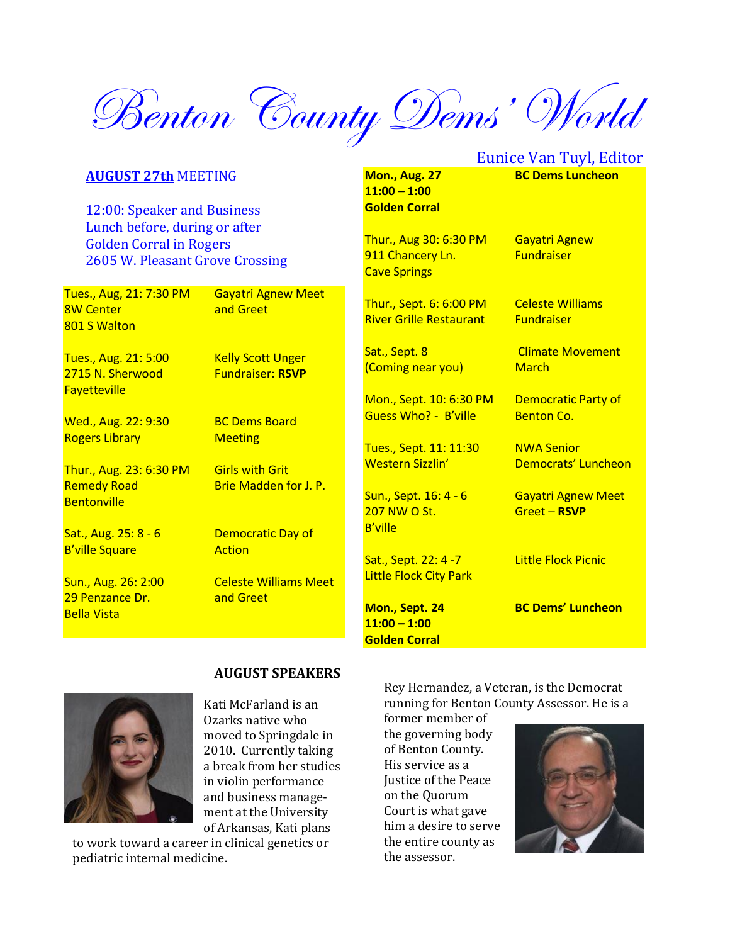Benton County Dems' World

#### **AUGUST 27th** MEETING

12:00: Speaker and Business Lunch before, during or after Golden Corral in Rogers 2605 W. Pleasant Grove Crossing

Tues., Aug, 21: 7:30 PM Gayatri Agnew Meet 8W Center **and Greet** 801 S Walton

Tues., Aug. 21: 5:00 Kelly Scott Unger 2715 N. Sherwood Fundraiser: **RSVP Fayetteville** 

Wed., Aug. 22: 9:30 BC Dems Board Rogers Library **Meeting** 

Thur., Aug. 23: 6:30 PM Girls with Grit Remedy Road Brie Madden for J. P. **Bentonville** 

B'ville Square **Action** 

29 Penzance Dr. **and Greet** Bella Vista

Sat., Aug. 25: 8 - 6 Democratic Day of

Sun., Aug. 26: 2:00 Celeste Williams Meet

 **AUGUST SPEAKERS**

**Mon., Aug. 27 BC Dems Luncheon 11:00 – 1:00 Golden Corral**

Thur., Aug 30: 6:30 PM Gayatri Agnew 911 Chancery Ln. Fundraiser Cave Springs

Thur., Sept. 6: 6:00 PM Celeste Williams River Grille Restaurant Fundraiser

(Coming near you) March

Mon., Sept. 10: 6:30 PM Democratic Party of Guess Who? - B'ville Benton Co.

Tues., Sept. 11: 11:30 NWA Senior

Sun., Sept. 16: 4 - 6 Gayatri Agnew Meet 207 NW O St. Greet – **RSVP** B'ville

Sat., Sept. 22: 4 -7 Little Flock Picnic Little Flock City Park

**11:00 – 1:00**

Eunice Van Tuyl, Editor

Sat., Sept. 8 Climate Movement

Western Sizzlin' Democrats' Luncheon

**Mon., Sept. 24 BC Dems' Luncheon**

**Golden Corral**

Kati McFarland is an Ozarks native who moved to Springdale in 2010. Currently taking a break from her studies in violin performance and business management at the University of Arkansas, Kati plans

to work toward a career in clinical genetics or pediatric internal medicine.

Rey Hernandez, a Veteran, is the Democrat running for Benton County Assessor. He is a

former member of the governing body of Benton County. His service as a Justice of the Peace on the Quorum Court is what gave him a desire to serve the entire county as the assessor.

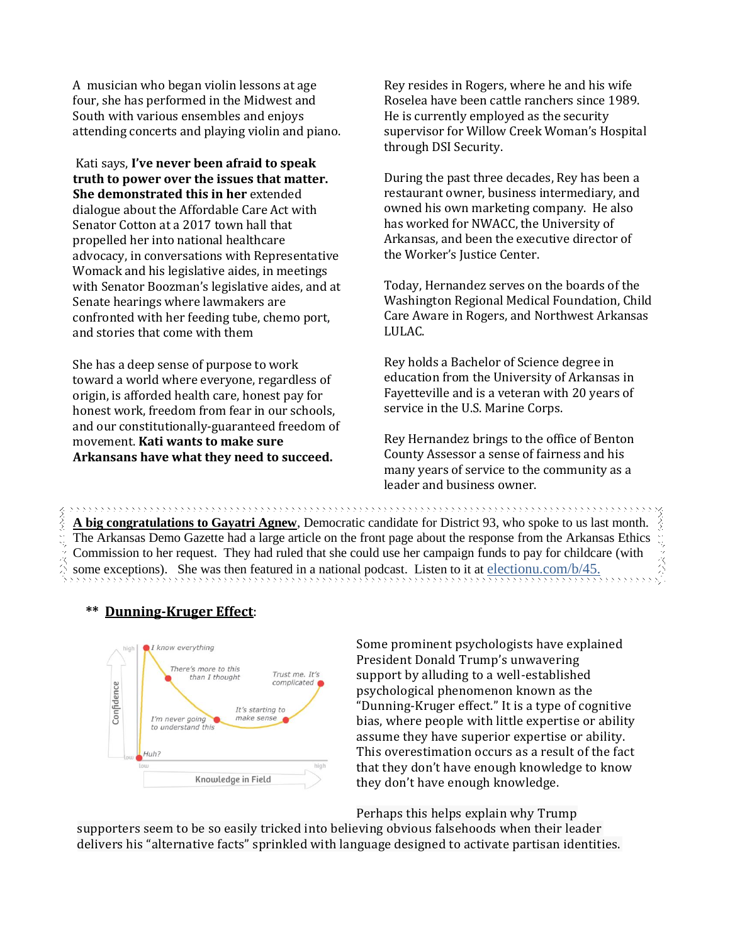A musician who began violin lessons at age four, she has performed in the Midwest and South with various ensembles and enjoys attending concerts and playing violin and piano.

Kati says, **I've never been afraid to speak truth to power over the issues that matter. She demonstrated this in her** extended dialogue about the Affordable Care Act with Senator Cotton at a 2017 town hall that propelled her into national healthcare advocacy, in conversations with Representative Womack and his legislative aides, in meetings with Senator Boozman's legislative aides, and at Senate hearings where lawmakers are confronted with her feeding tube, chemo port, and stories that come with them

She has a deep sense of purpose to work toward a world where everyone, regardless of origin, is afforded health care, honest pay for honest work, freedom from fear in our schools, and our constitutionally-guaranteed freedom of movement. **Kati wants to make sure Arkansans have what they need to succeed.** 

Rey resides in Rogers, where he and his wife Roselea have been cattle ranchers since 1989. He is currently employed as the security supervisor for Willow Creek Woman's Hospital through DSI Security.

During the past three decades, Rey has been a restaurant owner, business intermediary, and owned his own marketing company. He also has worked for NWACC, the University of Arkansas, and been the executive director of the Worker's Justice Center.

Today, Hernandez serves on the boards of the Washington Regional Medical Foundation, Child Care Aware in Rogers, and Northwest Arkansas LULAC.

Rey holds a Bachelor of Science degree in education from the University of Arkansas in Fayetteville and is a veteran with 20 years of service in the U.S. Marine Corps.

Rey Hernandez brings to the office of Benton County Assessor a sense of fairness and his many years of service to the community as a leader and business owner.

**A big congratulations to Gayatri Agnew**, Democratic candidate for District 93, who spoke to us last month. The Arkansas Demo Gazette had a large article on the front page about the response from the Arkansas Ethics Commission to her request. They had ruled that she could use her campaign funds to pay for childcare (with some exceptions). She was then featured in a national podcast. Listen to it at electionu.com/b/45.

,,,,,,,,,,,,,,,,,,,,,,,,,,,,,,,

#### **\*\* Dunning-Kruger Effect**:

くくくく



Some prominent [psychologists](https://www.politico.com/magazine/story/2016/05/donald-trump-supporters-dunning-kruger-effect-213904) have explained President Donald Trump's [unwavering](https://www.psychologytoday.com/us/blog/mind-in-the-machine/201609/the-psychology-behind-donald-trumps-unwavering-support)  [support](https://www.psychologytoday.com/us/blog/mind-in-the-machine/201609/the-psychology-behind-donald-trumps-unwavering-support) by alluding to a well-established psychological phenomenon known as the "[Dunning-Kruger effect](https://en.wikipedia.org/wiki/Dunning%E2%80%93Kruger_effect)." It is a type of cognitive bias, where people with little expertise or ability assume they have superior expertise or ability. This overestimation occurs as a result of the fact that they don't have enough knowledge to know they don't have enough knowledge.

Perhaps this helps explain why Trump

supporters seem to be so easily tricked into believing obvious falsehoods when their leader delivers his "alternative facts" sprinkled with language designed to activate partisan identities.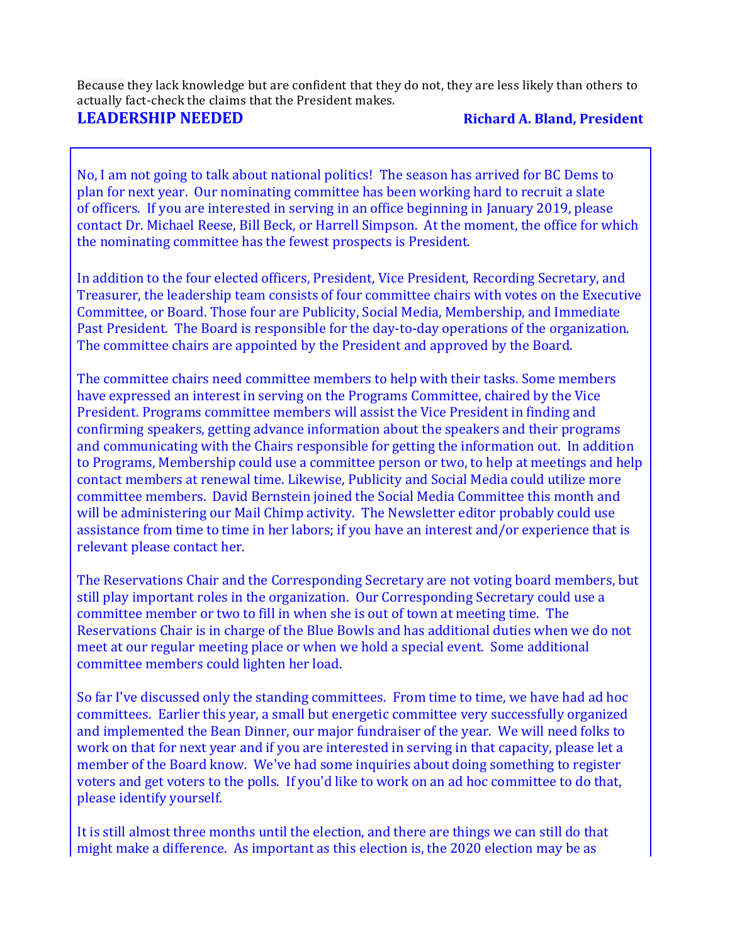Because they lack knowledge but are confident that they do not, they are less likely than others to actually fact-check the claims that the President makes.

## **LEADERSHIP NEEDED Richard A. Bland, President**

No, I am not going to talk about national politics! The season has arrived for BC Dems to plan for next year. Our nominating committee has been working hard to recruit a slate of officers. If you are interested in serving in an office beginning in January 2019, please contact Dr. Michael Reese, Bill Beck, or Harrell Simpson. At the moment, the office for which the nominating committee has the fewest prospects is President.

In addition to the four elected officers, President, Vice President, Recording Secretary, and Treasurer, the leadership team consists of four committee chairs with votes on the Executive Committee, or Board. Those four are Publicity, Social Media, Membership, and Immediate Past President. The Board is responsible for the day-to-day operations of the organization. The committee chairs are appointed by the President and approved by the Board.

The committee chairs need committee members to help with their tasks. Some members have expressed an interest in serving on the Programs Committee, chaired by the Vice President. Programs committee members will assist the Vice President in finding and confirming speakers, getting advance information about the speakers and their programs and communicating with the Chairs responsible for getting the information out. In addition to Programs, Membership could use a committee person or two, to help at meetings and help contact members at renewal time. Likewise, Publicity and Social Media could utilize more committee members. David Bernstein joined the Social Media Committee this month and will be administering our Mail Chimp activity. The Newsletter editor probably could use assistance from time to time in her labors; if you have an interest and/or experience that is relevant please contact her.

The Reservations Chair and the Corresponding Secretary are not voting board members, but still play important roles in the organization. Our Corresponding Secretary could use a committee member or two to fill in when she is out of town at meeting time. The Reservations Chair is in charge of the Blue Bowls and has additional duties when we do not meet at our regular meeting place or when we hold a special event. Some additional committee members could lighten her load.

So far I've discussed only the standing committees. From time to time, we have had ad hoc committees. Earlier this year, a small but energetic committee very successfully organized and implemented the Bean Dinner, our major fundraiser of the year. We will need folks to work on that for next year and if you are interested in serving in that capacity, please let a member of the Board know. We've had some inquiries about doing something to register voters and get voters to the polls. If you'd like to work on an ad hoc committee to do that, please identify yourself.

It is still almost three months until the election, and there are things we can still do that might make a difference. As important as this election is, the 2020 election may be as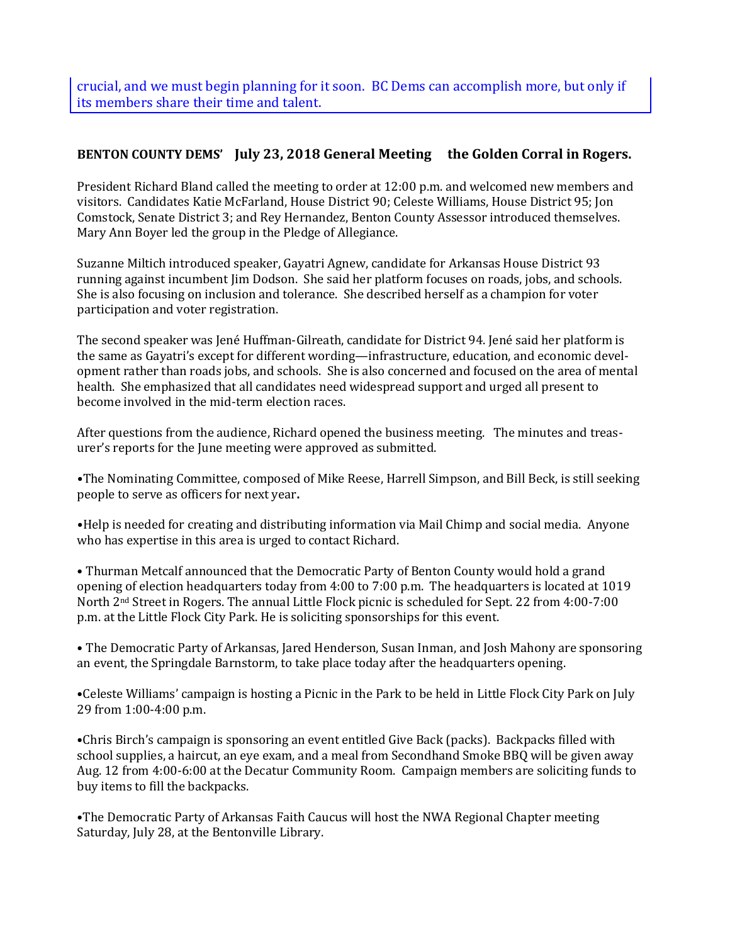crucial, and we must begin planning for it soon. BC Dems can accomplish more, but only if its members share their time and talent.

# **BENTON COUNTY DEMS' July 23, 2018 General Meeting the Golden Corral in Rogers.**

President Richard Bland called the meeting to order at 12:00 p.m. and welcomed new members and visitors. Candidates Katie McFarland, House District 90; Celeste Williams, House District 95; Jon Comstock, Senate District 3; and Rey Hernandez, Benton County Assessor introduced themselves. Mary Ann Boyer led the group in the Pledge of Allegiance.

Suzanne Miltich introduced speaker, Gayatri Agnew, candidate for Arkansas House District 93 running against incumbent Jim Dodson. She said her platform focuses on roads, jobs, and schools. She is also focusing on inclusion and tolerance. She described herself as a champion for voter participation and voter registration.

The second speaker was Jené Huffman-Gilreath, candidate for District 94. Jené said her platform is the same as Gayatri's except for different wording—infrastructure, education, and economic development rather than roads jobs, and schools. She is also concerned and focused on the area of mental health. She emphasized that all candidates need widespread support and urged all present to become involved in the mid-term election races.

After questions from the audience, Richard opened the business meeting. The minutes and treasurer's reports for the June meeting were approved as submitted.

**•**The Nominating Committee, composed of Mike Reese, Harrell Simpson, and Bill Beck, is still seeking people to serve as officers for next year**.**

**•**Help is needed for creating and distributing information via Mail Chimp and social media. Anyone who has expertise in this area is urged to contact Richard.

• Thurman Metcalf announced that the Democratic Party of Benton County would hold a grand opening of election headquarters today from 4:00 to 7:00 p.m. The headquarters is located at 1019 North 2nd Street in Rogers. The annual Little Flock picnic is scheduled for Sept. 22 from 4:00-7:00 p.m. at the Little Flock City Park. He is soliciting sponsorships for this event.

• The Democratic Party of Arkansas, Jared Henderson, Susan Inman, and Josh Mahony are sponsoring an event, the Springdale Barnstorm, to take place today after the headquarters opening.

•Celeste Williams' campaign is hosting a Picnic in the Park to be held in Little Flock City Park on July 29 from 1:00-4:00 p.m.

•Chris Birch's campaign is sponsoring an event entitled Give Back (packs). Backpacks filled with school supplies, a haircut, an eye exam, and a meal from Secondhand Smoke BBQ will be given away Aug. 12 from 4:00-6:00 at the Decatur Community Room. Campaign members are soliciting funds to buy items to fill the backpacks.

•The Democratic Party of Arkansas Faith Caucus will host the NWA Regional Chapter meeting Saturday, July 28, at the Bentonville Library.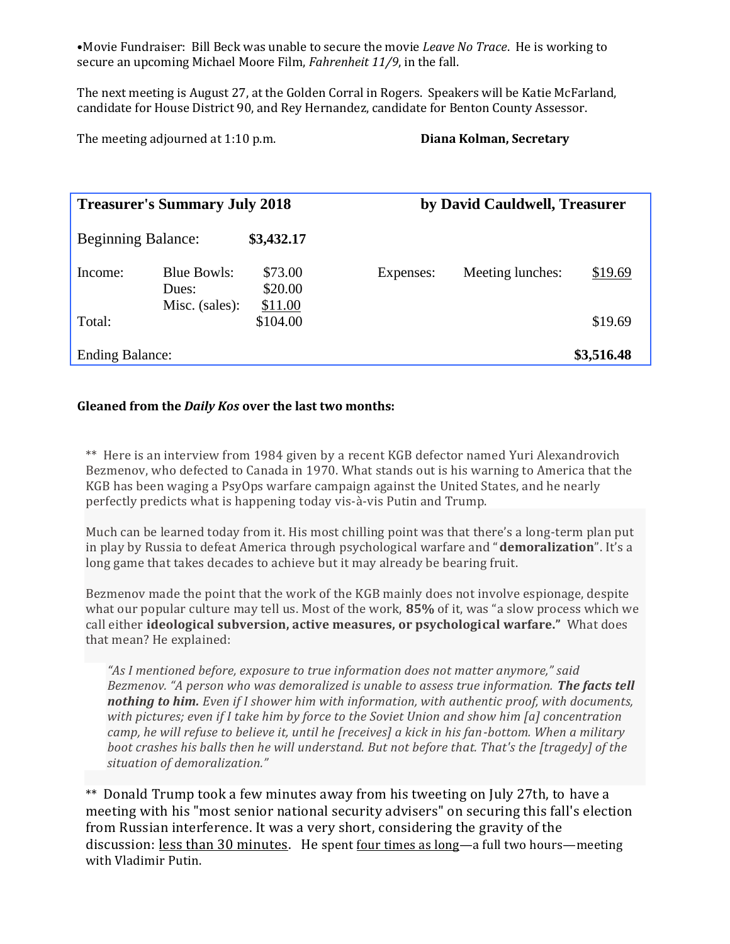•Movie Fundraiser: Bill Beck was unable to secure the movie *Leave No Trace*. He is working to secure an upcoming Michael Moore Film, *Fahrenheit 11/9*, in the fall.

The next meeting is August 27, at the Golden Corral in Rogers. Speakers will be Katie McFarland, candidate for House District 90, and Rey Hernandez, candidate for Benton County Assessor.

The meeting adjourned at 1:10 p.m. **Diana Kolman, Secretary**

| <b>Treasurer's Summary July 2018</b> |                                               |                               | by David Cauldwell, Treasurer |                  |            |
|--------------------------------------|-----------------------------------------------|-------------------------------|-------------------------------|------------------|------------|
| <b>Beginning Balance:</b>            |                                               | \$3,432.17                    |                               |                  |            |
| Income:                              | <b>Blue Bowls:</b><br>Dues:<br>Misc. (sales): | \$73.00<br>\$20.00<br>\$11.00 | Expenses:                     | Meeting lunches: | \$19.69    |
| Total:                               |                                               | \$104.00                      |                               |                  | \$19.69    |
| <b>Ending Balance:</b>               |                                               |                               |                               |                  | \$3,516.48 |

## **Gleaned from the** *Daily Kos* **over the last two months:**

\*\* Here is an interview from 1984 given by a recent KGB defector named Yuri Alexandrovich Bezmenov, who defected to Canada in 1970. What stands out is his warning to America that the KGB has been waging a PsyOps warfare campaign against the United States, and he nearly perfectly predicts what is happening today vis-à-vis Putin and Trump.

Much can be learned today from it. His most chilling point was that there's a long-term plan put in play by Russia to defeat America through psychological warfare and "**demoralization**". It's a long game that takes decades to achieve but it may already be bearing fruit.

Bezmenov made the point that the work of the KGB mainly does not involve espionage, despite what our popular culture may tell us. Most of the work, **85%** of it, was "a slow process which we call either **ideological subversion, active measures, or psychological warfare."** What does that mean? He explained:

*"As I mentioned before, exposure to true information does not matter anymore," said Bezmenov. "A person who was demoralized is unable to assess true information. The facts tell nothing to him. Even if I shower him with information, with authentic proof, with documents, with pictures; even if I take him by force to the Soviet Union and show him [a] concentration camp, he will refuse to believe it, until he [receives] a kick in his fan-bottom. When a military boot crashes his balls then he will understand. But not before that. That's the [tragedy] of the situation of demoralization."*

\*\* Donald Trump took a few minutes away from his tweeting on July 27th, to [have a](https://www.washingtonpost.com/amphtml/world/national-security/trump-chairs-election-security-meeting-but-gives-no-new-orders-to-repel-russian-interference/2018/07/27/ebf85f50-91b8-11e8-8322-b5482bf5e0f5_story.html)  [meeting](https://www.washingtonpost.com/amphtml/world/national-security/trump-chairs-election-security-meeting-but-gives-no-new-orders-to-repel-russian-interference/2018/07/27/ebf85f50-91b8-11e8-8322-b5482bf5e0f5_story.html) with his "most senior national security advisers" on securing this fall's election from Russian interference. It was a very short, considering the gravity of the discussion: <u>less than 30 minutes</u>. He spent <u>four times as long</u>—[a full two hours](https://www.usatoday.com/story/news/politics/2018/07/16/donald-trump-vladimir-putin-summit-helsinki/787257002/)—meeting with Vladimir Putin.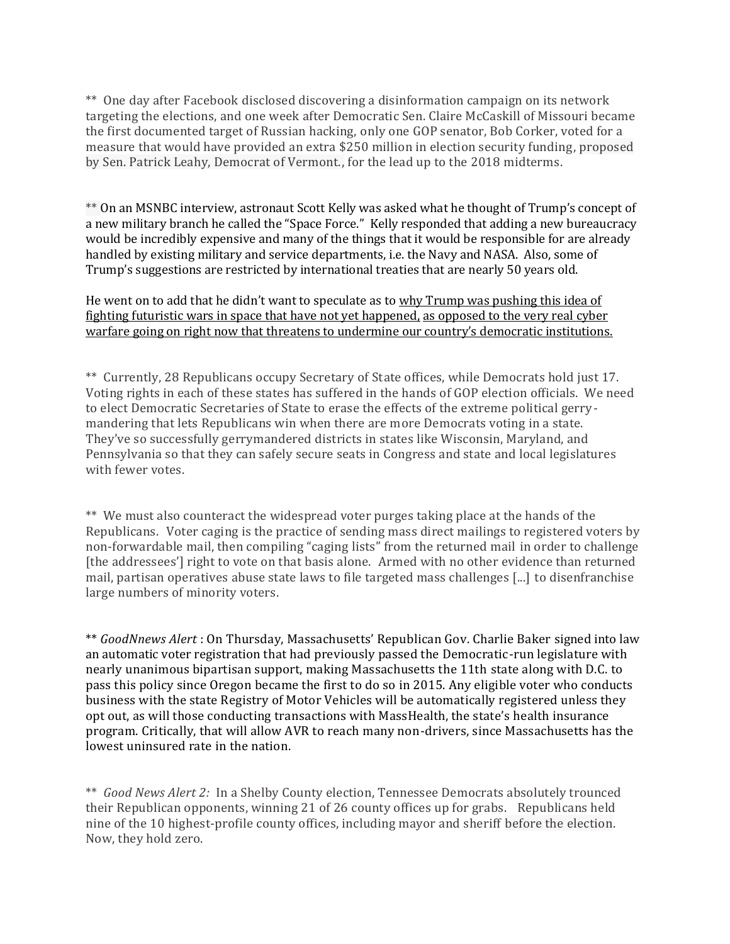\*\* One day after Facebook disclosed discovering a disinformation campaign on its network targeting the elections, and one week after Democratic Sen. Claire McCaskill of Missouri became the first documented target of Russian hacking, only one GOP senator, Bob Corker, voted for a measure that would have provided an extra \$250 million in election security funding, proposed by Sen. Patrick Leahy, Democrat of Vermont., for the lead up to the 2018 midterms.

\*\* On an MSNBC interview, astronaut Scott Kelly was asked what he thought of Trump's concept of a new military branch he called the "Space Force." Kelly responded that adding a new bureaucracy would be incredibly expensive and many of the things that it would be responsible for are already handled by existing military and service departments, i.e. the Navy and NASA. Also, some of Trump's suggestions are restricted by international treaties that are nearly 50 years old.

He went on to add that he didn't want to speculate as to why Trump was pushing this idea of fighting futuristic wars in space that have not yet happened, as opposed to the very real cyber warfare going on right now that threatens to undermine our country's democratic institutions.

\*\* Currently, 28 Republicans occupy Secretary of State offices, while Democrats hold just 17. Voting rights in each of these states has suffered in the hands of GOP election officials. We need to elect Democratic Secretaries of State to erase the effects of the extreme political gerrymandering that lets Republicans win when there are more Democrats voting in a state. They've so successfully gerrymandered districts in states like Wisconsin, Maryland, and Pennsylvania so that they can safely secure seats in Congress and state and local legislatures with fewer votes.

\*\* We must also counteract the widespread voter purges taking place at the hands of the Republicans. Voter caging is the practice of sending mass direct mailings to registered voters by non-forwardable mail, then compiling "caging lists" from the returned mail in order to challenge [the addressees'] right to vote on that basis alone. Armed with no other evidence than returned mail, partisan operatives abuse state laws to file targeted mass challenges [...] to disenfranchise large numbers of minority voters.

\*\* *GoodNnews Alert* : On Thursday, Massachusetts' Republican Gov. Charlie Baker signed into law an automatic voter registration that had previously passed the Democratic-run legislature with nearly unanimous bipartisan support, making Massachusetts the 11th state along with D.C. to pass this policy since Oregon became the first to do so in 2015. Any eligible voter who conducts business with the state Registry of Motor Vehicles will be automatically registered unless they opt out, as will those conducting transactions with MassHealth, the state's health insurance program. Critically, that will allow AVR to reach many non-drivers, since Massachusetts has the lowest uninsured rate in the nation.

\*\* *Good News Alert 2:* In a Shelby County election, Tennessee Democrats absolutely trounced their Republican opponents, winning 21 of 26 county offices up for grabs. Republicans held nine of the 10 highest-profile county offices, including mayor and sheriff before the election. Now, they hold zero.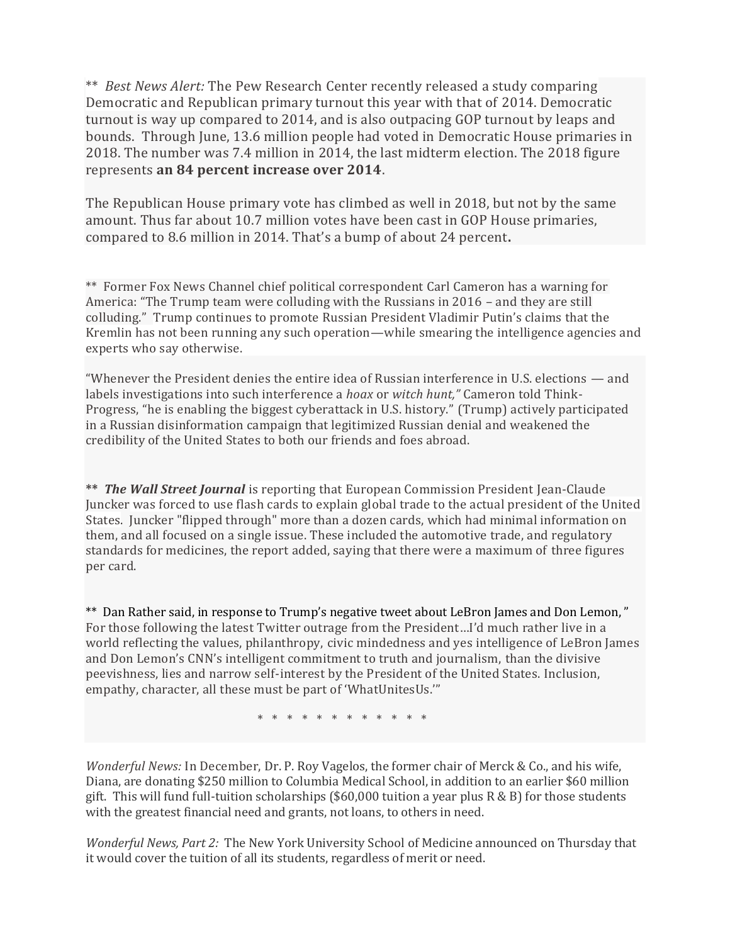\*\* *Best News Alert:* The Pew Research Center recently released a study comparing Democratic and Republican primary turnout this year with that of 2014. Democratic turnout is way up compared to 2014, and is also outpacing GOP turnout by leaps and bounds. Through June, 13.6 million people had voted in Democratic House primaries in 2018. The number was 7.4 million in 2014, the last midterm election. The 2018 figure represents **an 84 percent increase over 2014**.

The Republican House primary vote has climbed as well in 2018, but not by the same amount. Thus far about 10.7 million votes have been cast in GOP House primaries, compared to 8.6 million in 2014. That's a bump of about 24 percent**.**

\*\* Former Fox News Channel chief political correspondent Carl Cameron has a warning for America: "The Trump team were colluding with the Russians in 2016 – and they are still colluding." Trump continues to promote Russian President Vladimir Putin's claims that the Kremlin has not been running any such operation—while smearing the intelligence agencies and experts who say otherwise.

"Whenever the President denies the entire idea of Russian interference in U.S. elections — and labels investigations into such interference a *hoax* or *witch hunt,"* Cameron told Think-Progress, "he is enabling the biggest cyberattack in U.S. history." (Trump) actively participated in a Russian disinformation campaign that legitimized Russian denial and weakened the credibility of the United States to both our friends and foes abroad.

**\*\*** *The Wall Street Journal* is reporting that European Commission President Jean-Claude Juncker was forced to use flash cards to explain global trade to the actual president of the United States. Juncker "flipped through" more than a dozen cards, which had minimal information on them, and all focused on a single issue. These included the automotive trade, and regulatory standards for medicines, the report added, saying that there were a maximum of three figures per card.

\*\* Dan Rather said, in response to Trump's negative tweet about LeBron James and Don Lemon, " For those following the latest Twitter outrage from the President…I'd much rather live in a world reflecting the values, philanthropy, civic mindedness and yes intelligence of LeBron James and Don Lemon's CNN's intelligent commitment to truth and journalism, than the divisive peevishness, lies and narrow self-interest by the President of the United States. Inclusion, empathy, character, all these must be part of 'WhatUnitesUs.'"

\* \* \* \* \* \* \* \* \* \* \*

*Wonderful News:* In December, Dr. P. Roy Vagelos, the former chair of Merck & Co., and his wife, Diana, are donating \$250 million to Columbia Medical School, in addition to an earlier \$60 million gift. This will fund full-tuition scholarships (\$60,000 tuition a year plus  $R \& B$ ) for those students with the greatest financial need and grants, not loans, to others in need.

*Wonderful News, Part 2:* The New York University School of Medicine announced on Thursday that it would cover the tuition of all its students, regardless of merit or need.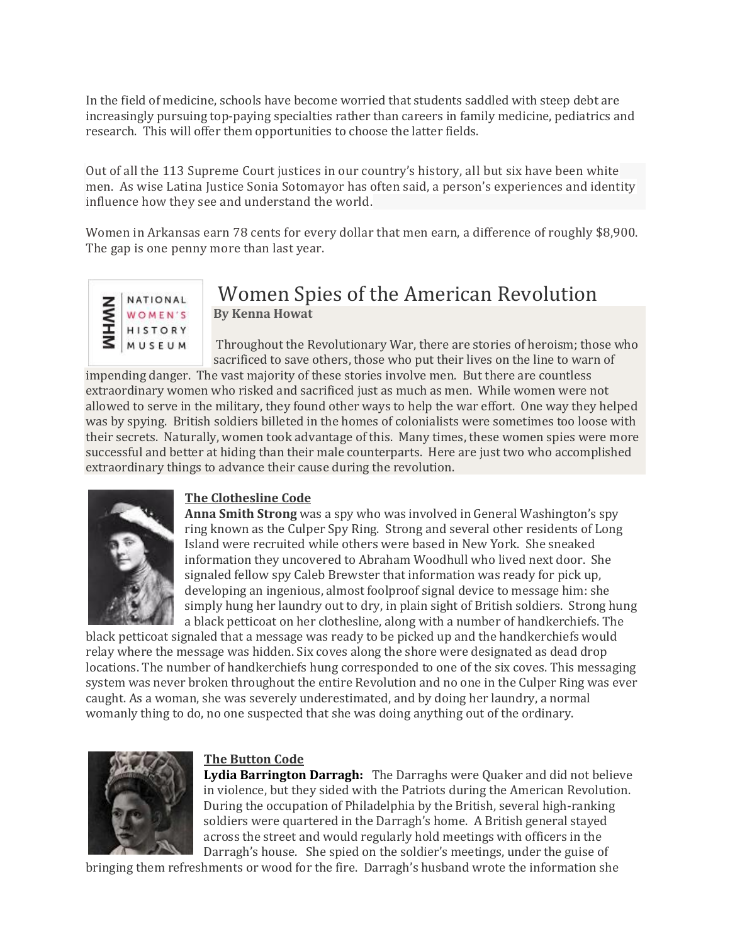In the field of medicine, schools have become worried that students saddled with steep debt are increasingly pursuing top-paying specialties rather than careers in family medicine, pediatrics and research. This will offer them opportunities to choose the latter fields.

Out of all the 113 Supreme Court justices in our country's history, all but six have been white men. As wise Latina Justice Sonia Sotomayor has often said, a person's experiences and identity influence how they see and understand the world.

Women in Arkansas earn 78 cents for every dollar that men earn, a difference of roughly \$8,900. The gap is one penny more than last year.



# Women Spies of the American Revolution **By Kenna Howat**

Throughout the Revolutionary War, there are stories of heroism; those who sacrificed to save others, those who put their lives on the line to warn of

impending danger. The vast majority of these stories involve men. But there are countless extraordinary women who risked and sacrificed just as much as men. While women were not allowed to serve in the military, they found other ways to help the war effort. One way they helped was by spying. British soldiers billeted in the homes of colonialists were sometimes too loose with their secrets. Naturally, women took advantage of this. Many times, these women spies were more successful and better at hiding than their male counterparts. Here are just two who accomplished extraordinary things to advance their cause during the revolution.



# **The Clothesline Code**

**Anna Smith Strong** was a spy who was involved in General Washington's spy ring known as the Culper Spy Ring. Strong and several other residents of Long Island were recruited while others were based in New York. She sneaked information they uncovered to Abraham Woodhull who lived next door. She signaled fellow spy Caleb Brewster that information was ready for pick up, developing an ingenious, almost foolproof signal device to message him: she simply hung her laundry out to dry, in plain sight of British soldiers. Strong hung a black petticoat on her clothesline, along with a number of handkerchiefs. The

black petticoat signaled that a message was ready to be picked up and the handkerchiefs would relay where the message was hidden. Six coves along the shore were designated as dead drop locations. The number of handkerchiefs hung corresponded to one of the six coves. This messaging system was never broken throughout the entire Revolution and no one in the Culper Ring was ever caught. As a woman, she was severely underestimated, and by doing her laundry, a normal womanly thing to do, no one suspected that she was doing anything out of the ordinary.



#### **The Button Code**

**Lydia Barrington Darragh:** The Darraghs were Quaker and did not believe in violence, but they sided with the Patriots during the American Revolution. During the occupation of Philadelphia by the British, several high-ranking soldiers were quartered in the Darragh's home. A British general stayed across the street and would regularly hold meetings with officers in the Darragh's house. She spied on the soldier's meetings, under the guise of

bringing them refreshments or wood for the fire. Darragh's husband wrote the information she